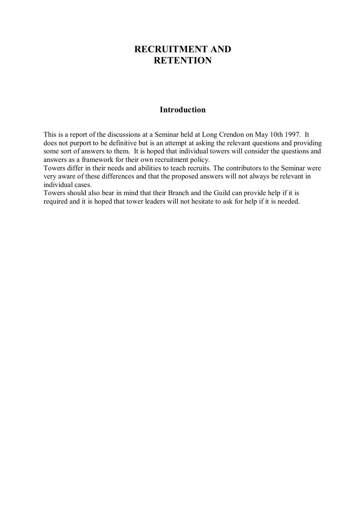# **RECRUITMENT AND RETENTION**

# **Introduction**

This is a report of the discussions at a Seminar held at Long Crendon on May 10th 1997. It does not purport to be definitive but is an attempt at asking the relevant questions and providing some sort of answers to them. It is hoped that individual towers will consider the questions and answers as a framework for their own recruitment policy.

Towers differ in their needs and abilities to teach recruits. The contributors to the Seminar were very aware of these differences and that the proposed answers will not always be relevant in individual cases.

Towers should also bear in mind that their Branch and the Guild can provide help if it is required and it is hoped that tower leaders will not hesitate to ask for help if it is needed.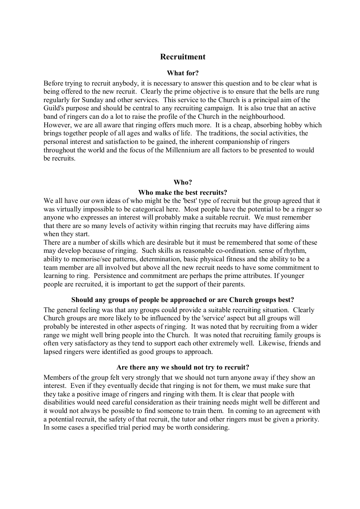# **Recruitment**

#### **What for?**

Before trying to recruit anybody, it is necessary to answer this question and to be clear what is being offered to the new recruit. Clearly the prime objective is to ensure that the bells are rung regularly for Sunday and other services. This service to the Church is a principal aim of the Guild's purpose and should be central to any recruiting campaign. It is also true that an active band of ringers can do a lot to raise the profile of the Church in the neighbourhood. However, we are all aware that ringing offers much more. It is a cheap, absorbing hobby which brings together people of all ages and walks of life. The traditions, the social activities, the personal interest and satisfaction to be gained, the inherent companionship of ringers throughout the world and the focus of the Millennium are all factors to be presented to would be recruits.

#### **Who?**

#### **Who make the best recruits?**

We all have our own ideas of who might be the 'best' type of recruit but the group agreed that it was virtually impossible to be categorical here. Most people have the potential to be a ringer so anyone who expresses an interest will probably make a suitable recruit. We must remember that there are so many levels of activity within ringing that recruits may have differing aims when they start.

There are a number of skills which are desirable but it must be remembered that some of these may develop because of ringing. Such skills as reasonable co-ordination, sense of rhythm, ability to memorise/see patterns, determination, basic physical fitness and the ability to be a team member are all involved but above all the new recruit needs to have some commitment to learning to ring. Persistence and commitment are perhaps the prime attributes. If younger people are recruited, it is important to get the support of their parents.

#### **Should any groups of people be approached or are Church groups best?**

The general feeling was that any groups could provide a suitable recruiting situation. Clearly Church groups are more likely to be influenced by the 'service' aspect but all groups will probably be interested in other aspects of ringing. It was noted that by recruiting from a wider range we might well bring people into the Church. It was noted that recruiting family groups is often very satisfactory as they tend to support each other extremely well. Likewise, friends and lapsed ringers were identified as good groups to approach.

#### **Are there any we should not try to recruit?**

Members of the group felt very strongly that we should not turn anyone away if they show an interest. Even if they eventually decide that ringing is not for them, we must make sure that they take a positive image of ringers and ringing with them. It is clear that people with disabilities would need careful consideration as their training needs might well be different and it would not always be possible to find someone to train them. In coming to an agreement with a potential recruit, the safety of that recruit, the tutor and other ringers must be given a priority. In some cases a specified trial period may be worth considering.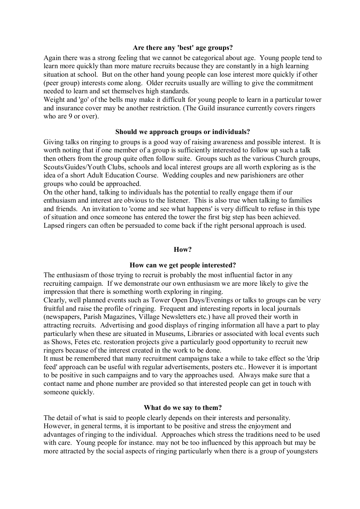#### **Are there any 'best' age groups?**

Again there was a strong feeling that we cannot be categorical about age. Young people tend to learn more quickly than more mature recruits because they are constantly in a high learning situation at school. But on the other hand young people can lose interest more quickly if other (peer group) interests come along. Older recruits usually are willing to give the commitment needed to learn and set themselves high standards.

Weight and 'go' of the bells may make it difficult for young people to learn in a particular tower and insurance cover may be another restriction. (The Guild insurance currently covers ringers who are 9 or over).

#### **Should we approach groups or individuals?**

Giving talks on ringing to groups is a good way of raising awareness and possible interest. It is worth noting that if one member of a group is sufficiently interested to follow up such a talk then others from the group quite often follow suite. Groups such as the various Church groups, Scouts/Guides/Youth Clubs, schools and local interest groups are all worth exploring as is the idea of a short Adult Education Course. Wedding couples and new parishioners are other groups who could be approached.

On the other hand, talking to individuals has the potential to really engage them if our enthusiasm and interest are obvious to the listener. This is also true when talking to families and friends. An invitation to 'come and see what happens' is very difficult to refuse in this type of situation and once someone has entered the tower the first big step has been achieved. Lapsed ringers can often be persuaded to come back if the right personal approach is used.

#### **How?**

#### **How can we get people interested?**

The enthusiasm of those trying to recruit is probably the most influential factor in any recruiting campaign. If we demonstrate our own enthusiasm we are more likely to give the impression that there is something worth exploring in ringing.

Clearly, well planned events such as Tower Open Days/Evenings or talks to groups can be very fruitful and raise the profile of ringing. Frequent and interesting reports in local journals (newspapers, Parish Magazines, Village Newsletters etc.) have all proved their worth in attracting recruits. Advertising and good displays of ringing information all have a part to play particularly when these are situated in Museums, Libraries or associated with local events such as Shows, Fetes etc. restoration projects give a particularly good opportunity to recruit new ringers because of the interest created in the work to be done.

It must be remembered that many recruitment campaigns take a while to take effect so the 'drip feed' approach can be useful with regular advertisements, posters etc.. However it is important to be positive in such campaigns and to vary the approaches used. Always make sure that a contact name and phone number are provided so that interested people can get in touch with someone quickly.

# **What do we say to them?**

The detail of what is said to people clearly depends on their interests and personality. However, in general terms, it is important to be positive and stress the enjoyment and advantages of ringing to the individual. Approaches which stress the traditions need to be used with care. Young people for instance. may not be too influenced by this approach but may be more attracted by the social aspects of ringing particularly when there is a group of youngsters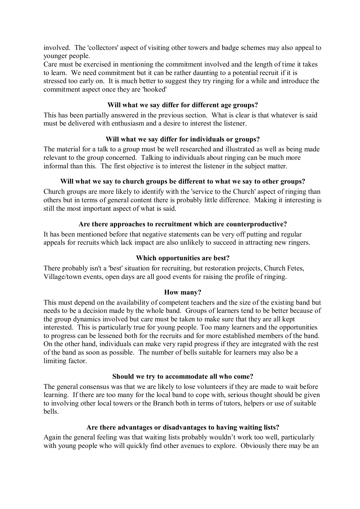involved. The 'collectors' aspect of visiting other towers and badge schemes may also appeal to younger people.

Care must be exercised in mentioning the commitment involved and the length of time it takes to learn. We need commitment but it can be rather daunting to a potential recruit if it is stressed too early on. It is much better to suggest they try ringing for a while and introduce the commitment aspect once they are 'hooked'

# **Will what we say differ for different age groups?**

This has been partially answered in the previous section. What is clear is that whatever is said must be delivered with enthusiasm and a desire to interest the listener.

# **Will what we say differ for individuals or groups?**

The material for a talk to a group must be well researched and illustrated as well as being made relevant to the group concerned. Talking to individuals about ringing can be much more informal than this. The first objective is to interest the listener in the subject matter.

# **Will what we say to church groups be different to what we say to other groups?**

Church groups are more likely to identify with the 'service to the Church' aspect of ringing than others but in terms of general content there is probably little difference. Making it interesting is still the most important aspect of what is said.

# **Are there approaches to recruitment which are counterproductive?**

It has been mentioned before that negative statements can be very off putting and regular appeals for recruits which lack impact are also unlikely to succeed in attracting new ringers.

#### **Which opportunities are best?**

There probably isn't a 'best' situation for recruiting, but restoration projects, Church Fetes, Village/town events, open days are all good events for raising the profile of ringing.

#### **How many?**

This must depend on the availability of competent teachers and the size of the existing band but needs to be a decision made by the whole band. Groups of learners tend to be better because of the group dynamics involved but care must be taken to make sure that they are all kept interested. This is particularly true for young people. Too many learners and the opportunities to progress can be lessened both for the recruits and for more established members of the band. On the other hand, individuals can make very rapid progress if they are integrated with the rest of the band as soon as possible. The number of bells suitable for learners may also be a limiting factor.

# **Should we try to accommodate all who come?**

The general consensus was that we are likely to lose volunteers if they are made to wait before learning. If there are too many for the local band to cope with, serious thought should be given to involving other local towers or the Branch both in terms of tutors, helpers or use of suitable bells.

#### **Are there advantages or disadvantages to having waiting lists?**

Again the general feeling was that waiting lists probably wouldn't work too well, particularly with young people who will quickly find other avenues to explore. Obviously there may be an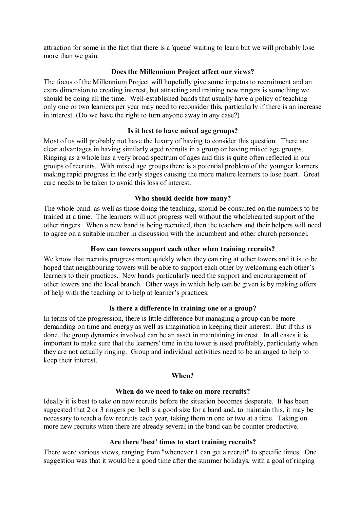attraction for some in the fact that there is a 'queue' waiting to learn but we will probably lose more than we gain.

#### **Does the Millennium Project affect our views?**

The focus of the Millennium Project will hopefully give some impetus to recruitment and an extra dimension to creating interest, but attracting and training new ringers is something we should be doing all the time. Well-established bands that usually have a policy of teaching only one or two learners per year may need to reconsider this, particularly if there is an increase in interest. (Do we have the right to turn anyone away in any case?)

#### **Is it best to have mixed age groups?**

Most of us will probably not have the luxury of having to consider this question. There are clear advantages in having similarly aged recruits in a group or having mixed age groups. Ringing as a whole has a very broad spectrum of ages and this is quite often reflected in our groups of recruits. With mixed age groups there is a potential problem of the younger learners making rapid progress in the early stages causing the more mature learners to lose heart. Great care needs to be taken to avoid this loss of interest.

# **Who should decide how many?**

The whole band. as well as those doing the teaching, should be consulted on the numbers to be trained at a time. The learners will not progress well without the wholehearted support of the other ringers. When a new band is being recruited, then the teachers and their helpers will need to agree on a suitable number in discussion with the incumbent and other church personnel.

# **How can towers support each other when training recruits?**

We know that recruits progress more quickly when they can ring at other towers and it is to be hoped that neighbouring towers will be able to support each other by welcoming each other's learners to their practices. New bands particularly need the support and encouragement of other towers and the local branch. Other ways in which help can be given is by making offers of help with the teaching or to help at learner's practices.

# **Is there a difference in training one or a group?**

In terms of the progression, there is little difference but managing a group can be more demanding on time and energy as well as imagination in keeping their interest. But if this is done, the group dynamics involved can be an asset in maintaining interest. In all cases it is important to make sure that the learners' time in the tower is used profitably, particularly when they are not actually ringing. Group and individual activities need to be arranged to help to keep their interest.

#### **When?**

#### **When do we need to take on more recruits?**

Ideally it is best to take on new recruits before the situation becomes desperate. It has been suggested that 2 or 3 ringers per bell is a good size for a band and, to maintain this, it may be necessary to teach a few recruits each year, taking them in one or two at a time. Taking on more new recruits when there are already several in the band can be counter productive.

#### **Are there 'best' times to start training recruits?**

There were various views, ranging from "whenever 1 can get a recruit" to specific times. One suggestion was that it would be a good time after the summer holidays, with a goal of ringing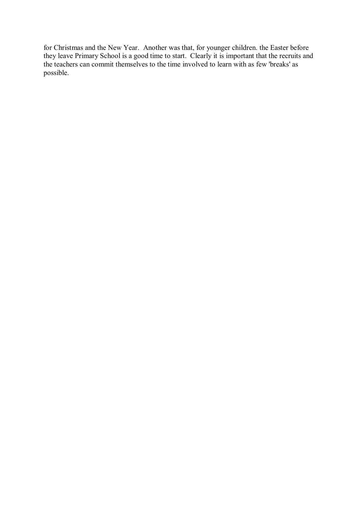for Christmas and the New Year. Another was that, for younger children. the Easter before they leave Primary School is a good time to start. Clearly it is important that the recruits and the teachers can commit themselves to the time involved to learn with as few 'breaks' as possible.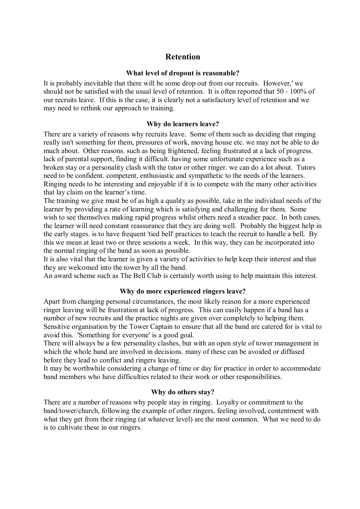# **Retention**

# **What level of dropout is reasonable?**

It is probably inevitable that there will be some drop out from our recruits. However,' we should not be satisfied with the usual level of retention. It is often reported that 50 - 100% of our recruits leave. If this is the case, it is clearly not a satisfactory level of retention and we may need to rethink our approach to training.

# **Why do learners leave?**

There are a variety of reasons why recruits leave. Some of them such as deciding that ringing really isn't something for them, pressures of work, moving house etc. we may not be able to do much about. Other reasons. such as being frightened, feeling frustrated at a lack of progress. lack of parental support, finding it difficult. having some unfortunate experience such as a broken stay or a personality clash with the tutor or other ringer. we can do a lot about. Tutors need to be confident. competent, enthusiastic and sympathetic to the needs of the learners. Ringing needs to be interesting and enjoyable if it is to compete with the many other activities that lay claim on the learner's time.

The training we give must be of as high a quality as possible, take in the individual needs of the learner by providing a rate of learning which is satisfying and challenging for them. Some wish to see themselves making rapid progress whilst others need a steadier pace. In both cases, the learner will need constant reassurance that they are doing well. Probably the biggest help in the early stages. is to have frequent 'tied bell' practices to teach the recruit to handle a bell. By this we mean at least two or three sessions a week. In this way, they can be incorporated into the normal ringing of the band as soon as possible.

It is also vital that the learner is given a variety of activities to help keep their interest and that they are welcomed into the tower by all the band.

An award scheme such as The Bell Club is certainly worth using to help maintain this interest.

#### **Why do more experienced ringers leave?**

Apart from changing personal circumstances, the most likely reason for a more experienced ringer leaving will be frustration at lack of progress. This can easily happen if a band has a number of new recruits and the practice nights are given over completely to helping them. Sensitive organisation by the Tower Captain to ensure that all the band are catered for is vital to avoid this. 'Something for everyone' is a good goal.

There will always be a few personality clashes, but with an open style of tower management in which the whole band are involved in decisions. many of these can be avoided or diffused before they lead to conflict and ringers leaving.

It may be worthwhile considering a change of time or day for practice in order to accommodate band members who have difficulties related to their work or other responsibilities.

#### **Why do others stay?**

There are a number of reasons why people stay in ringing. Loyalty or commitment to the band/tower/church, following the example of other ringers, feeling involved, contentment with what they get from their ringing (at whatever level) are the most common. What we need to do is to cultivate these in our ringers.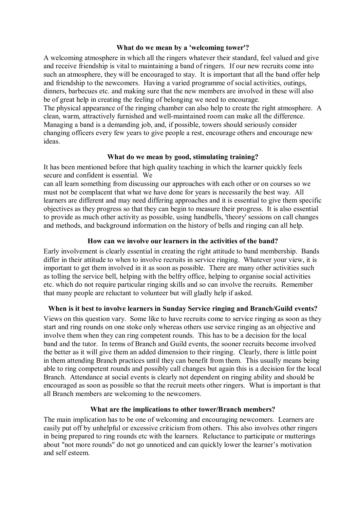#### **What do we mean by a 'welcoming tower'?**

A welcoming atmosphere in which all the ringers whatever their standard, feel valued and give and receive friendship is vital to maintaining a band of ringers. If our new recruits come into such an atmosphere, they will be encouraged to stay. It is important that all the band offer help and friendship to the newcomers. Having a varied programme of social activities, outings, dinners, barbecues etc. and making sure that the new members are involved in these will also be of great help in creating the feeling of belonging we need to encourage.

The physical appearance of the ringing chamber can also help to create the right atmosphere. A clean, warm, attractively furnished and well-maintained room can make all the difference. Managing a band is a demanding job, and, if possible, towers should seriously consider changing officers every few years to give people a rest, encourage others and encourage new ideas.

#### **What do we mean by good, stimulating training?**

It has been mentioned before that high quality teaching in which the learner quickly feels secure and confident is essential. We

can all learn something from discussing our approaches with each other or on courses so we must not be complacent that what we have done for years is necessarily the best way. All learners are different and may need differing approaches and it is essential to give them specific objectives as they progress so that they can begin to measure their progress. It is also essential to provide as much other activity as possible, using handbells, 'theory' sessions on call changes and methods, and background information on the history of bells and ringing can all help.

# **How can we involve our learners in the activities of the band?**

Early involvement is clearly essential in creating the right attitude to band membership. Bands differ in their attitude to when to involve recruits in service ringing. Whatever your view, it is important to get them involved in it as soon as possible. There are many other activities such as tolling the service bell, helping with the belfry office, helping to organise social activities etc. which do not require particular ringing skills and so can involve the recruits. Remember that many people are reluctant to volunteer but will gladly help if asked.

#### **When is it best to involve learners in Sunday Service ringing and Branch/Guild events?**

Views on this question vary. Some like to have recruits come to service ringing as soon as they start and ring rounds on one stoke only whereas others use service ringing as an objective and involve them when they can ring competent rounds. This has to be a decision for the local band and the tutor. In terms of Branch and Guild events, the sooner recruits become involved the better as it will give them an added dimension to their ringing. Clearly, there is little point in them attending Branch practices until they can benefit from them. This usually means being able to ring competent rounds and possibly call changes but again this is a decision for the local Branch. Attendance at social events is clearly not dependent on ringing ability and should be encouraged as soon as possible so that the recruit meets other ringers. What is important is that all Branch members are welcoming to the newcomers.

#### **What are the implications to other tower/Branch members?**

The main implication has to be one of welcoming and encouraging newcomers. Learners are easily put off by unhelpful or excessive criticism from others. This also involves other ringers in being prepared to ring rounds etc with the learners. Reluctance to participate or mutterings about "not more rounds" do not go unnoticed and can quickly lower the learner's motivation and self esteem.